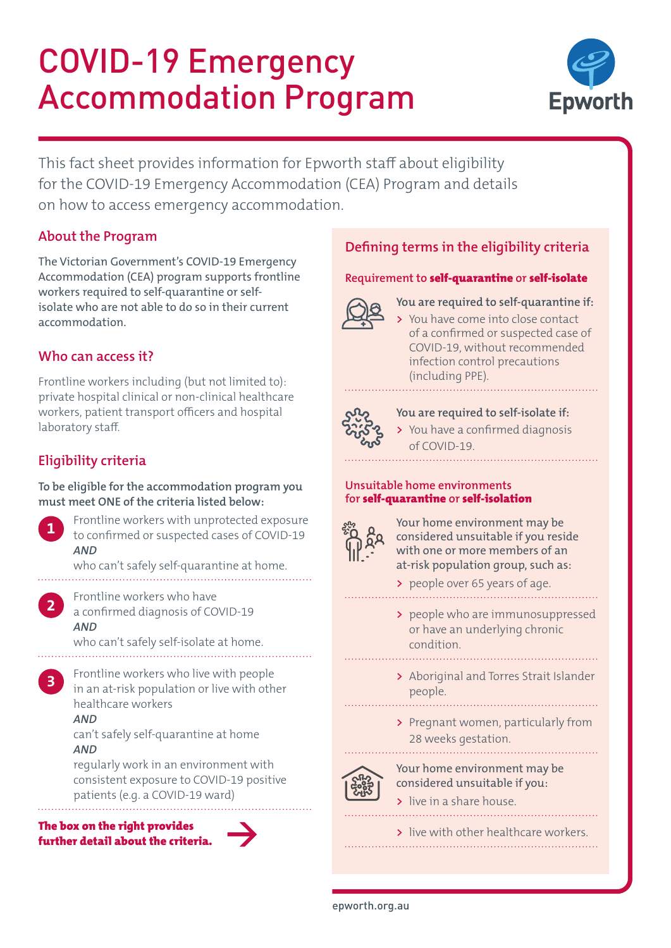# COVID-19 Emergency Accommodation Program



This fact sheet provides information for Epworth staff about eligibility for the COVID-19 Emergency Accommodation (CEA) Program and details on how to access emergency accommodation.

# **About the Program**

The Victorian Government's COVID-19 Emergency Accommodation (CEA) program supports frontline workers required to self-quarantine or selfisolate who are not able to do so in their current accommodation.

# **Who can access it?**

Frontline workers including (but not limited to): private hospital clinical or non-clinical healthcare workers, patient transport officers and hospital laboratory staff.

# **Eligibility criteria**

**To be eligible for the accommodation program you must meet ONE of the criteria listed below:**



**2**

**3**

Frontline workers with unprotected exposure to confirmed or suspected cases of COVID-19 *AND*

who can't safely self-quarantine at home.

Frontline workers who have a confirmed diagnosis of COVID-19 *AND*

who can't safely self-isolate at home. 

Frontline workers who live with people in an at-risk population or live with other healthcare workers

### *AND*

can't safely self-quarantine at home *AND*

regularly work in an environment with consistent exposure to COVID-19 positive patients (e.g. a COVID-19 ward)

#### The box on the right provides further detail about the criteria.



# **Defining terms in the eligibility criteria**

#### **Requirement to** self-quarantine **or** self-isolate



#### **You are required to self-quarantine if:**

**>** You have come into close contact of a confirmed or suspected case of COVID-19, without recommended infection control precautions (including PPE).

**You are required to self-isolate if:**

**>** You have a confirmed diagnosis of COVID-19.

#### **Unsuitable home environments for** self-quarantine **or** self-isolation



Your home environment may be considered unsuitable if you reside with one or more members of an at-risk population group, such as:

- **>** people over 65 years of age.
- **>** people who are immunosuppressed or have an underlying chronic condition.
- **>** Aboriginal and Torres Strait Islander people.
	-
- **>** Pregnant women, particularly from 28 weeks gestation.



Your home environment may be considered unsuitable if you:

**>** live in a share house.

**>** live with other healthcare workers.